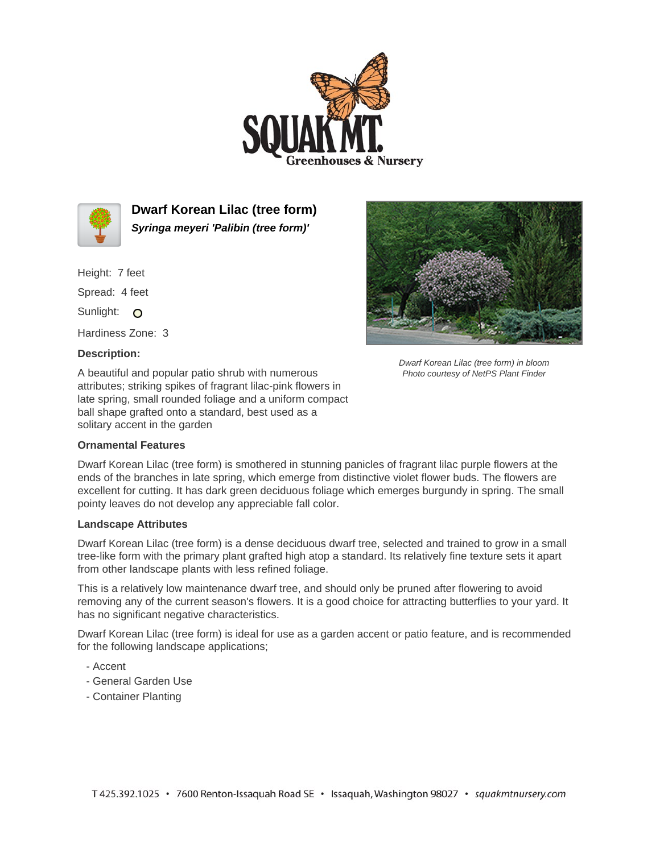



**Dwarf Korean Lilac (tree form) Syringa meyeri 'Palibin (tree form)'**

Height: 7 feet Spread: 4 feet

Sunlight: O

Hardiness Zone: 3

## **Description:**

A beautiful and popular patio shrub with numerous attributes; striking spikes of fragrant lilac-pink flowers in late spring, small rounded foliage and a uniform compact ball shape grafted onto a standard, best used as a solitary accent in the garden

## **Ornamental Features**



Dwarf Korean Lilac (tree form) in bloom Photo courtesy of NetPS Plant Finder

Dwarf Korean Lilac (tree form) is smothered in stunning panicles of fragrant lilac purple flowers at the ends of the branches in late spring, which emerge from distinctive violet flower buds. The flowers are excellent for cutting. It has dark green deciduous foliage which emerges burgundy in spring. The small pointy leaves do not develop any appreciable fall color.

## **Landscape Attributes**

Dwarf Korean Lilac (tree form) is a dense deciduous dwarf tree, selected and trained to grow in a small tree-like form with the primary plant grafted high atop a standard. Its relatively fine texture sets it apart from other landscape plants with less refined foliage.

This is a relatively low maintenance dwarf tree, and should only be pruned after flowering to avoid removing any of the current season's flowers. It is a good choice for attracting butterflies to your yard. It has no significant negative characteristics.

Dwarf Korean Lilac (tree form) is ideal for use as a garden accent or patio feature, and is recommended for the following landscape applications;

- Accent
- General Garden Use
- Container Planting